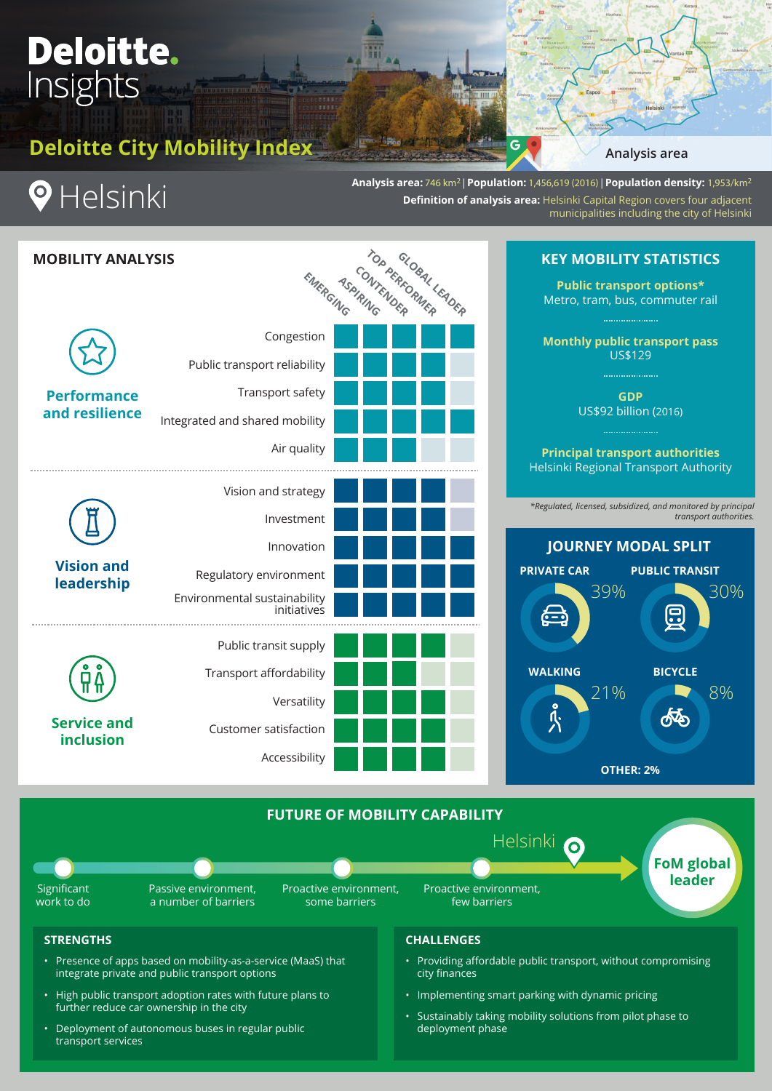# **Deloitte.** Insights

**Deloitte City Mobility Index**

**Analysis area**

**KEY MOBILITY STATISTICS**



**Analysis area:** 746 km2 | **Population:** 1,456,619 (2016) | **Population density:** 1,953/km2 **Definition of analysis area: Helsinki Capital Region covers four adjacent** municipalities including the city of Helsinki

 $\epsilon$ 

| <b>MOBILITY ANALYSIS</b>               |                                             | EMERGING TOP PERFORM LEADER |
|----------------------------------------|---------------------------------------------|-----------------------------|
| <b>Performance</b><br>and resilience   | Congestion                                  |                             |
|                                        | Public transport reliability                |                             |
|                                        | Transport safety                            |                             |
|                                        | Integrated and shared mobility              |                             |
|                                        | Air quality                                 |                             |
| <b>Vision and</b><br>leadership        | Vision and strategy                         |                             |
|                                        | Investment                                  |                             |
|                                        | Innovation                                  |                             |
|                                        | Regulatory environment                      |                             |
|                                        | Environmental sustainability<br>initiatives |                             |
| <b>Service and</b><br><b>inclusion</b> | Public transit supply                       |                             |
|                                        | Transport affordability                     |                             |
|                                        | Versatility                                 |                             |
|                                        | Customer satisfaction                       |                             |
|                                        | Accessibility                               |                             |
|                                        |                                             |                             |





**FoM global leader**



Significant work to do

Passive environment, a number of barriers Proactive environment, some barriers

Proactive environment, few barriers

### **STRENGTHS**

- Presence of apps based on mobility-as-a-service (MaaS) that integrate private and public transport options
- High public transport adoption rates with future plans to further reduce car ownership in the city
- Deployment of autonomous buses in regular public transport services

## **CHALLENGES**

• Providing affordable public transport, without compromising city finances

6

• Implementing smart parking with dynamic pricing

Helsinki

• Sustainably taking mobility solutions from pilot phase to deployment phase